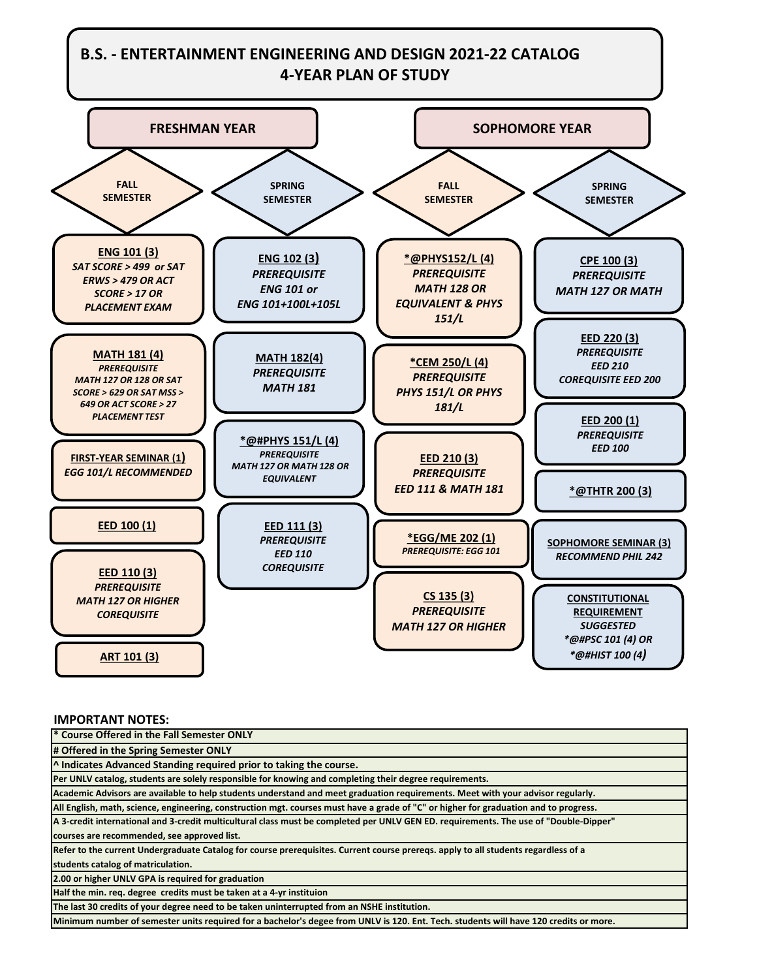## **B.S. - ENTERTAINMENT ENGINEERING AND DESIGN 2021-22 CATALOG 4-YEAR PLAN OF STUDY**



## **IMPORTANT NOTES:**

**\* Course Offered in the Fall Semester ONLY # Offered in the Spring Semester ONLY ^ Indicates Advanced Standing required prior to taking the course. Per UNLV catalog, students are solely responsible for knowing and completing their degree requirements. Academic Advisors are available to help students understand and meet graduation requirements. Meet with your advisor regularly. All English, math, science, engineering, construction mgt. courses must have a grade of "C" or higher for graduation and to progress. A 3-credit international and 3-credit multicultural class must be completed per UNLV GEN ED. requirements. The use of "Double-Dipper" courses are recommended, see approved list. Refer to the current Undergraduate Catalog for course prerequisites. Current course prereqs. apply to all students regardless of a students catalog of matriculation. 2.00 or higher UNLV GPA is required for graduation Half the min. req. degree credits must be taken at a 4-yr instituion The last 30 credits of your degree need to be taken uninterrupted from an NSHE institution.**

**Minimum number of semester units required for a bachelor's degee from UNLV is 120. Ent. Tech. students will have 120 credits or more.**